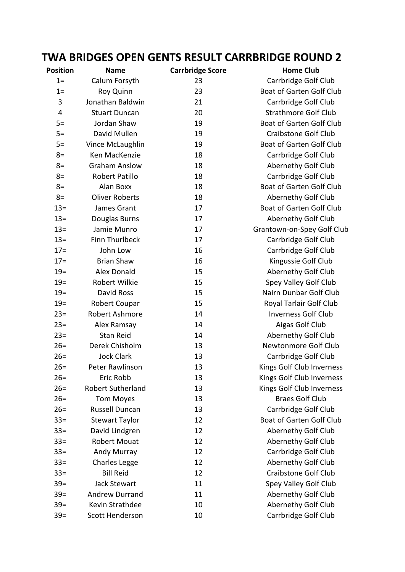## **TWA BRIDGES OPEN GENTS RESULT CARRBRIDGE ROUND 2**

| Position       | <b>Name</b>              | <b>Carrbridge Score</b> | <b>Home Club</b>                |
|----------------|--------------------------|-------------------------|---------------------------------|
| $1=$           | Calum Forsyth            | 23                      | Carrbridge Golf Club            |
| $1=$           | Roy Quinn                | 23                      | Boat of Garten Golf Club        |
| 3              | Jonathan Baldwin         | 21                      | Carrbridge Golf Club            |
| $\overline{4}$ | <b>Stuart Duncan</b>     | 20                      | <b>Strathmore Golf Club</b>     |
| $5=$           | Jordan Shaw              | 19                      | Boat of Garten Golf Club        |
| $5=$           | David Mullen             | 19                      | <b>Craibstone Golf Club</b>     |
| $5=$           | Vince McLaughlin         | 19                      | Boat of Garten Golf Club        |
| $8=$           | Ken MacKenzie            | 18                      | Carrbridge Golf Club            |
| $8=$           | <b>Graham Anslow</b>     | 18                      | Abernethy Golf Club             |
| $8=$           | <b>Robert Patillo</b>    | 18                      | Carrbridge Golf Club            |
| $8=$           | Alan Boxx                | 18                      | Boat of Garten Golf Club        |
| $8=$           | <b>Oliver Roberts</b>    | 18                      | Abernethy Golf Club             |
| $13 =$         | James Grant              | 17                      | Boat of Garten Golf Club        |
| $13 =$         | Douglas Burns            | 17                      | Abernethy Golf Club             |
| $13 =$         | Jamie Munro              | 17                      | Grantown-on-Spey Golf Club      |
| $13 =$         | Finn Thurlbeck           | 17                      | Carrbridge Golf Club            |
| $17 =$         | John Low                 | 16                      | Carrbridge Golf Club            |
| $17 =$         | <b>Brian Shaw</b>        | 16                      | Kingussie Golf Club             |
| $19 =$         | Alex Donald              | 15                      | Abernethy Golf Club             |
| $19=$          | Robert Wilkie            | 15                      | Spey Valley Golf Club           |
| $19 =$         | David Ross               | 15                      | Nairn Dunbar Golf Club          |
| $19 =$         | Robert Coupar            | 15                      | Royal Tarlair Golf Club         |
| $23=$          | Robert Ashmore           | 14                      | <b>Inverness Golf Club</b>      |
| $23=$          | Alex Ramsay              | 14                      | Aigas Golf Club                 |
| $23=$          | <b>Stan Reid</b>         | 14                      | Abernethy Golf Club             |
| $26=$          | Derek Chisholm           | 13                      | Newtonmore Golf Club            |
| $26=$          | <b>Jock Clark</b>        | 13                      | Carrbridge Golf Club            |
| $26=$          | Peter Rawlinson          | 13                      | Kings Golf Club Inverness       |
| $26=$          | Eric Robb                | 13                      | Kings Golf Club Inverness       |
| $26=$          | <b>Robert Sutherland</b> | 13                      | Kings Golf Club Inverness       |
| $26=$          | <b>Tom Moyes</b>         | 13                      | <b>Braes Golf Club</b>          |
| $26=$          | <b>Russell Duncan</b>    | 13                      | Carrbridge Golf Club            |
| $33 =$         | <b>Stewart Taylor</b>    | 12                      | <b>Boat of Garten Golf Club</b> |
| $33 =$         | David Lindgren           | 12                      | Abernethy Golf Club             |
| $33 =$         | <b>Robert Mouat</b>      | 12                      | Abernethy Golf Club             |
| $33 =$         | <b>Andy Murray</b>       | 12                      | Carrbridge Golf Club            |
| $33 =$         | <b>Charles Legge</b>     | 12                      | Abernethy Golf Club             |
| $33 =$         | <b>Bill Reid</b>         | 12                      | <b>Craibstone Golf Club</b>     |
| $39=$          | <b>Jack Stewart</b>      | 11                      | Spey Valley Golf Club           |
| $39=$          | <b>Andrew Durrand</b>    | 11                      | Abernethy Golf Club             |
| $39=$          | Kevin Strathdee          | 10                      | Abernethy Golf Club             |
| $39=$          | Scott Henderson          | 10                      | Carrbridge Golf Club            |